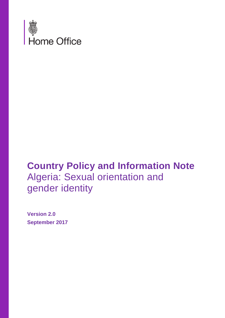

# **Country Policy and Information Note** Algeria: Sexual orientation and gender identity

**Version 2.0 September 2017**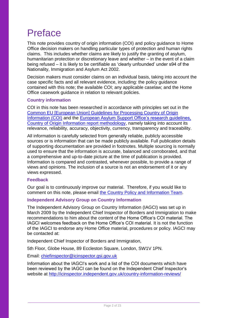# Preface

This note provides country of origin information (COI) and policy guidance to Home Office decision makers on handling particular types of protection and human rights claims. This includes whether claims are likely to justify the granting of asylum, humanitarian protection or discretionary leave and whether – in the event of a claim being refused – it is likely to be certifiable as 'clearly unfounded' under s94 of the Nationality, Immigration and Asylum Act 2002.

Decision makers must consider claims on an individual basis, taking into account the case specific facts and all relevant evidence, including: the policy guidance contained with this note; the available COI; any applicable caselaw; and the Home Office casework guidance in relation to relevant policies.

### **Country information**

COI in this note has been researched in accordance with principles set out in the [Common EU \[European Union\] Guidelines for Processing Country of Origin](http://www.refworld.org/cgi-bin/texis/vtx/rwmain?page=search&docid=48493f7f2&skip=0&query=eu%20common%20guidelines%20on%20COi)  [Information \(COI\)](http://www.refworld.org/cgi-bin/texis/vtx/rwmain?page=search&docid=48493f7f2&skip=0&query=eu%20common%20guidelines%20on%20COi) and the [European Asylum Support Office's research guidelines,](http://ec.europa.eu/dgs/home-affairs/what-we-do/policies/asylum/european-asylum-support-office/coireportmethodologyfinallayout_en.pdf)  [Country of Origin Information report methodology,](http://ec.europa.eu/dgs/home-affairs/what-we-do/policies/asylum/european-asylum-support-office/coireportmethodologyfinallayout_en.pdf) namely taking into account its relevance, reliability, accuracy, objectivity, currency, transparency and traceability.

All information is carefully selected from generally reliable, publicly accessible sources or is information that can be made publicly available. Full publication details of supporting documentation are provided in footnotes. Multiple sourcing is normally used to ensure that the information is accurate, balanced and corroborated, and that a comprehensive and up-to-date picture at the time of publication is provided. Information is compared and contrasted, whenever possible, to provide a range of views and opinions. The inclusion of a source is not an endorsement of it or any views expressed.

#### **Feedback**

Our goal is to continuously improve our material. Therefore, if you would like to comment on this note, please email [the Country Policy and Information Team.](mailto:cois@homeoffice.gsi.gov.uk)

#### **Independent Advisory Group on Country Information**

The Independent Advisory Group on Country Information (IAGCI) was set up in March 2009 by the Independent Chief Inspector of Borders and Immigration to make recommendations to him about the content of the Home Office's COI material. The IAGCI welcomes feedback on the Home Office's COI material. It is not the function of the IAGCI to endorse any Home Office material, procedures or policy. IAGCI may be contacted at:

Independent Chief Inspector of Borders and Immigration,

5th Floor, Globe House, 89 Eccleston Square, London, SW1V 1PN.

Email: [chiefinspector@icinspector.gsi.gov.uk](mailto:chiefinspector@icinspector.gsi.gov.uk)

<span id="page-1-0"></span>Information about the IAGCI's work and a list of the COI documents which have been reviewed by the IAGCI can be found on the Independent Chief Inspector's website at <http://icinspector.independent.gov.uk/country-information-reviews/>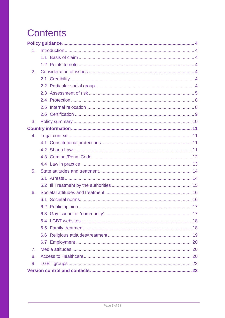# **Contents**

| 1 <sub>1</sub> |  |
|----------------|--|
|                |  |
|                |  |
| 2.             |  |
|                |  |
|                |  |
|                |  |
|                |  |
|                |  |
|                |  |
| 3.             |  |
|                |  |
| 4.             |  |
|                |  |
|                |  |
|                |  |
|                |  |
| 5.             |  |
|                |  |
|                |  |
| 6.             |  |
|                |  |
|                |  |
|                |  |
|                |  |
|                |  |
|                |  |
|                |  |
| 7.             |  |
| 8.             |  |
| 9.             |  |
|                |  |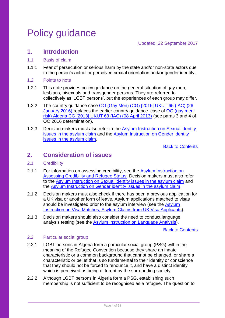# <span id="page-3-0"></span>Policy guidance

## <span id="page-3-1"></span>**1. Introduction**

### <span id="page-3-2"></span>1.1 Basis of claim

- 1.1.1 Fear of persecution or serious harm by the state and/or non-state actors due to the person's actual or perceived sexual orientation and/or gender identity.
- <span id="page-3-3"></span>1.2 Points to note
- 1.2.1 This note provides policy guidance on the general situation of gay men, lesbians, bisexuals and transgender persons. They are referred to collectively as 'LGBT persons', but the experiences of each group may differ.
- 1.2.2 The country guidance case [OO \(Gay Men\) \(CG\) \[2016\] UKUT 65 \(IAC\) \(26](http://www.bailii.org/uk/cases/UKUT/IAC/2016/65.html)  [January 2016\)](http://www.bailii.org/uk/cases/UKUT/IAC/2016/65.html) replaces the earlier country guidance case of [OO \(gay men:](http://www.bailii.org/uk/cases/UKUT/IAC/2013/00063_ukut_iac_oo_algeria_cg.html)  [risk\) Algeria CG \[2013\] UKUT 63 \(IAC\) \(08 April 2013\)](http://www.bailii.org/uk/cases/UKUT/IAC/2013/00063_ukut_iac_oo_algeria_cg.html) (see paras 3 and 4 of OO 2016 determination).
- 1.2.3 Decision makers must also refer to the [Asylum Instruction on Sexual identity](https://www.gov.uk/government/publications/sexual-identity-issues-in-the-asylum-claim)  [issues in the asylum claim](https://www.gov.uk/government/publications/sexual-identity-issues-in-the-asylum-claim) and the [Asylum Instruction on Gender identity](https://www.gov.uk/government/publications/dealing-with-gender-identity-issues-in-the-asylum-claim-process)  [issues in the asylum claim.](https://www.gov.uk/government/publications/dealing-with-gender-identity-issues-in-the-asylum-claim-process)

[Back to Contents](#page-1-0)

## <span id="page-3-4"></span>**2. Consideration of issues**

#### <span id="page-3-5"></span>2.1 Credibility

- 2.1.1 For information on assessing credibility, see the Asylum Instruction on [Assessing Credibility and Refugee Status.](https://www.gov.uk/government/publications/considering-asylum-claims-and-assessing-credibility-instruction) Decision makers must also refer to the [Asylum Instruction on Sexual identity issues in the asylum claim](https://www.gov.uk/government/publications/sexual-identity-issues-in-the-asylum-claim) and the [Asylum Instruction on Gender identity issues in the asylum claim.](https://www.gov.uk/government/publications/dealing-with-gender-identity-issues-in-the-asylum-claim-process)
- 2.1.2 Decision makers must also check if there has been a previous application for a UK visa or another form of leave. Asylum applications matched to visas should be investigated prior to the asylum interview (see the Asylum [Instruction on Visa Matches, Asylum Claims from UK Visa Applicants\)](https://www.gov.uk/government/publications/visa-matches-handling-asylum-claims-from-uk-visa-applicants-instruction).
- 2.1.3 Decision makers should also consider the need to conduct language analysis testing (see the [Asylum Instruction on Language Analysis\)](https://www.gov.uk/government/publications/language-analysis-instruction).

[Back to Contents](#page-1-0)

### <span id="page-3-6"></span>2.2 Particular social group

- 2.2.1 LGBT persons in Algeria form a particular social group (PSG) within the meaning of the Refugee Convention because they share an innate characteristic or a common background that cannot be changed, or share a characteristic or belief that is so fundamental to their identity or conscience that they should not be forced to renounce it, and have a distinct identity which is perceived as being different by the surrounding society.
- 2.2.2 Although LGBT persons in Algeria form a PSG, establishing such membership is not sufficient to be recognised as a refugee. The question to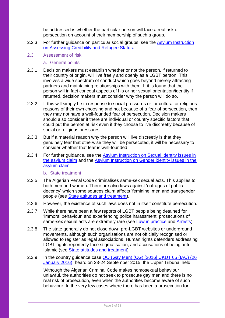be addressed is whether the particular person will face a real risk of persecution on account of their membership of such a group.

- 2.2.3 For further guidance on particular social groups, see the **Asylum Instruction** [on Assessing Credibility and Refugee Status.](https://www.gov.uk/government/publications/considering-asylum-claims-and-assessing-credibility-instruction)
- <span id="page-4-0"></span>2.3 Assessment of risk
	- a. General points
- 2.3.1 Decision makers must establish whether or not the person, if returned to their country of origin, will live freely and openly as a LGBT person. This involves a wide spectrum of conduct which goes beyond merely attracting partners and maintaining relationships with them. If it is found that the person will in fact conceal aspects of his or her sexual orientation/identity if returned, decision makers must consider why the person will do so.
- 2.3.2 If this will simply be in response to social pressures or for cultural or religious reasons of their own choosing and not because of a fear of persecution, then they may not have a well-founded fear of persecution. Decision makers should also consider if there are individual or country specific factors that could put the person at risk even if they choose to live discreetly because of social or religious pressures.
- 2.3.3 But if a material reason why the person will live discreetly is that they genuinely fear that otherwise they will be persecuted, it will be necessary to consider whether that fear is well-founded.
- 2.3.4 For further quidance, see the Asylum Instruction on Sexual identity issues in [the asylum claim](https://www.gov.uk/government/publications/sexual-identity-issues-in-the-asylum-claim) and the [Asylum Instruction on Gender identity issues in the](https://www.gov.uk/government/publications/dealing-with-gender-identity-issues-in-the-asylum-claim-process)  [asylum claim.](https://www.gov.uk/government/publications/dealing-with-gender-identity-issues-in-the-asylum-claim-process)

b. State treatment

- 2.3.5 The Algerian Penal Code criminalises same-sex sexual acts. This applies to both men and women. There are also laws against 'outrages of public decency' which some sources claim affects 'feminine' men and transgender people (see [State attitudes and treatment\)](#page-13-0).
- 2.3.6 However, the existence of such laws does not in itself constitute persecution.
- 2.3.7 While there have been a few reports of LGBT people being detained for 'immoral behaviour' and experiencing police harassment, prosecutions of same-sex sexual acts are extremely rare (see [Law in practice](#page-12-0) and [Arrests\)](#page-13-1).
- 2.3.8 The state generally do not close down pro-LGBT websites or underground movements, although such organisations are not officially recognised or allowed to register as legal associations. Human rights defenders addressing LGBT rights reportedly face stigmatisation, and accusations of being anti-Islamic (see [State attitudes and treatment\)](#page-13-0).
- 2.3.9 In the country guidance case [OO \(Gay Men\) \(CG\) \[2016\] UKUT 65 \(IAC\) \(26](http://www.bailii.org/uk/cases/UKUT/IAC/2016/65.html)  [January 2016\),](http://www.bailii.org/uk/cases/UKUT/IAC/2016/65.html) heard on 23-24 September 2015, the Upper Tribunal held:

'Although the Algerian Criminal Code makes homosexual behaviour unlawful, the authorities do not seek to prosecute gay men and there is no real risk of prosecution, even when the authorities become aware of such behaviour. In the very few cases where there has been a prosecution for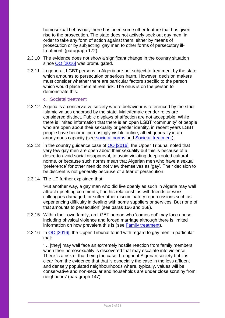homosexual behaviour, there has been some other feature that has given rise to the prosecution. The state does not actively seek out gay men in order to take any form of action against them, either by means of prosecution or by subjecting gay men to other forms of persecutory illtreatment' (paragraph 172).

- 2.3.10 The evidence does not show a significant change in the country situation since [OO \[2016\]](http://www.bailii.org/uk/cases/UKUT/IAC/2016/65.html) was promulgated.
- 2.3.11 In general, LGBT persons in Algeria are not subject to treatment by the state which amounts to persecution or serious harm. However, decision makers must consider whether there are particular factors specific to the person which would place them at real risk. The onus is on the person to demonstrate this.

#### c. Societal treatment

- 2.3.12 Algeria is a conservative society where behaviour is referenced by the strict Islamic values endorsed by the state. Male/female gender roles are considered distinct. Public displays of affection are not acceptable. While there is limited information that there is an open LGBT 'community' of people who are open about their sexuality or gender identity, in recent years LGBT people have become increasingly visible online, albeit generally in an anonymous capacity (see [societal norms](#page-15-1) and [Societal treatment\)](#page-15-0).
- 2.3.13 In the country guidance case of [OO \[2016\],](http://www.bailii.org/uk/cases/UKUT/IAC/2016/65.html) the Upper Tribunal noted that very few gay men are open about their sexuality but this is because of a desire to avoid social disapproval, to avoid violating deep-rooted cultural norms, or because such norms mean that Algerian men who have a sexual 'preference' for other men do not view themselves as 'gay'. Their decision to be discreet is not generally because of a fear of persecution.
- 2.3.14 The UT further explained that:

'Put another way, a gay man who did live openly as such in Algeria may well attract upsetting comments; find his relationships with friends or work colleagues damaged; or suffer other discriminatory repercussions such as experiencing difficulty in dealing with some suppliers or services. But none of that amounts to persecution' (see paras 166 and 168).

- 2.3.15 Within their own family, an LGBT person who 'comes out' may face abuse, including physical violence and forced marriage although there is limited information on how prevalent this is (see [Family treatment\)](#page-17-1).
- 2.3.16 In [OO \[2016\],](http://www.bailii.org/uk/cases/UKUT/IAC/2016/65.html) the Upper Tribunal found with regard to gay men in particular that:

'… [they] may well face an extremely hostile reaction from family members when their homosexuality is discovered that may escalate into violence. There is a risk of that being the case throughout Algerian society but it is clear from the evidence that that is especially the case in the less affluent and densely populated neighbourhoods where, typically, values will be conservative and non-secular and households are under close scrutiny from neighbours' (paragraph 147).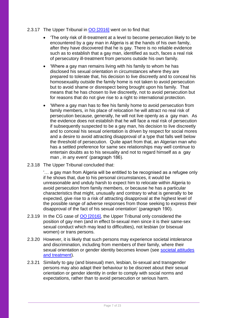### 2.3.17 The Upper Tribunal in [OO \[2016\]](http://www.bailii.org/uk/cases/UKUT/IAC/2016/65.html) went on to find that:

- 'The only risk of ill-treatment at a level to become persecution likely to be encountered by a gay man in Algeria is at the hands of his own family, after they have discovered that he is gay. There is no reliable evidence such as to establish that a gay man, identified as such, faces a real risk of persecutory ill-treatment from persons outside his own family.
- 'Where a gay man remains living with his family to whom he has disclosed his sexual orientation in circumstances where they are prepared to tolerate that, his decision to live discreetly and to conceal his homosexuality outside the family home is not taken to avoid persecution but to avoid shame or disrespect being brought upon his family. That means that he has chosen to live discreetly, not to avoid persecution but for reasons that do not give rise to a right to international protection.
- 'Where a gay man has to flee his family home to avoid persecution from family members, in his place of relocation he will attract no real risk of persecution because, generally, he will not live openly as a gay man. As the evidence does not establish that he will face a real risk of persecution if subsequently suspected to be a gay man, his decision to live discreetly and to conceal his sexual orientation is driven by respect for social mores and a desire to avoid attracting disapproval of a type that falls well below the threshold of persecution. Quite apart from that, an Algerian man who has a settled preference for same sex relationships may well continue to entertain doubts as to his sexuality and not to regard himself as a gay man , in any event' (paragraph 186).
- 2.3.18 The Upper Tribunal concluded that:

'… a gay man from Algeria will be entitled to be recognised as a refugee only if he shows that, due to his personal circumstances, it would be unreasonable and unduly harsh to expect him to relocate within Algeria to avoid persecution from family members, or because he has a particular characteristics that might, unusually and contrary to what is generally to be expected, give rise to a risk of attracting disapproval at the highest level of the possible range of adverse responses from those seeking to express their disapproval of the fact of his sexual orientation' (paragraph 190).

- 2.3.19 In the CG case of **OO [2016]**, the Upper Tribunal only considered the position of gay men (and in effect bi-sexual men since it is their same-sex sexual conduct which may lead to difficulties), not lesbian (or bisexual women) or trans persons.
- 2.3.20 However, it is likely that such persons may experience societal intolerance and discrimination, including from members of their family, where their sexual orientation or gender identity becomes known (see societal attitudes [and treatment\)](#page-15-0).
- 2.3.21 Similarly to gay (and bisexual) men, lesbian, bi-sexual and transgender persons may also adapt their behaviour to be discreet about their sexual orientation or gender identity in order to comply with social norms and expectations, rather than to avoid persecution or serious harm.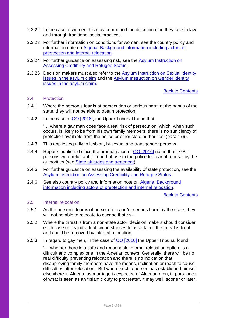- 2.3.22 In the case of women this may compound the discrimination they face in law and through traditional social practices.
- 2.3.23 For further information on conditions for women, see the country policy and information note on [Algeria: Background information including actors of](https://www.gov.uk/government/publications/algeria-country-policy-and-information-notes)  [preotection and internal relocation.](https://www.gov.uk/government/publications/algeria-country-policy-and-information-notes)
- 2.3.24 For further guidance on assessing risk, see the Asylum Instruction on [Assessing Credibility and Refugee Status.](https://www.gov.uk/government/publications/considering-asylum-claims-and-assessing-credibility-instruction)
- 2.3.25 Decision makers must also refer to the [Asylum Instruction on Sexual identity](https://www.gov.uk/government/publications/sexual-identity-issues-in-the-asylum-claim)  [issues in the asylum claim](https://www.gov.uk/government/publications/sexual-identity-issues-in-the-asylum-claim) and the [Asylum Instruction on Gender identity](https://www.gov.uk/government/publications/dealing-with-gender-identity-issues-in-the-asylum-claim-process)  [issues in the asylum claim.](https://www.gov.uk/government/publications/dealing-with-gender-identity-issues-in-the-asylum-claim-process)

[Back to Contents](#page-1-0)

#### <span id="page-7-0"></span>2.4 Protection

- 2.4.1 Where the person's fear is of persecution or serious harm at the hands of the state, they will not be able to obtain protection.
- 2.4.2 In the case of [OO \[2016\],](http://www.bailii.org/uk/cases/UKUT/IAC/2016/65.html) the Upper Tribunal found that

'… where a gay man does face a real risk of persecution, which, when such occurs, is likely to be from his own family members, there is no sufficiency of protection available from the police or other state authorities' (para 176).

- 2.4.3 This applies equally to lesbian, bi-sexual and transgender persons.
- 2.4.4 Reports published since the promulgation of [OO \[2016\]](http://www.bailii.org/uk/cases/UKUT/IAC/2016/65.html) noted that LGBT persons were reluctant to report abuse to the police for fear of reprisal by the authorities (see [State attitudes and treatment\)](#page-13-0).
- 2.4.5 For further guidance on assessing the availability of state protection, see the [Asylum Instruction on Assessing Credibility and Refugee Status.](https://www.gov.uk/government/publications/considering-asylum-claims-and-assessing-credibility-instruction)
- 2.4.6 See also country policy and information note on [Algeria: Background](https://www.gov.uk/government/publications/algeria-country-policy-and-information-notes)  [information including actors of preotection and internal relocation.](https://www.gov.uk/government/publications/algeria-country-policy-and-information-notes)

#### [Back to Contents](#page-1-0)

#### <span id="page-7-1"></span>2.5 Internal relocation

- 2.5.1 As the person's fear is of persecution and/or serious harm by the state, they will not be able to relocate to escape that risk.
- 2.5.2 Where the threat is from a non-state actor, decision makers should consider each case on its individual circumstances to ascertain if the threat is local and could be removed by internal relocation.
- 2.5.3 In regard to gay men, in the case of [OO \[2016\]](http://www.bailii.org/uk/cases/UKUT/IAC/2016/65.html) the Upper Tribunal found:

'… whether there is a safe and reasonable internal relocation option, is a difficult and complex one in the Algerian context. Generally, there will be no real difficulty preventing relocation and there is no indication that disapproving family members have the means, inclination or reach to cause difficulties after relocation. But where such a person has established himself elsewhere in Algeria, as marriage is expected of Algerian men, in pursuance of what is seen as an "Islamic duty to procreate", it may well, sooner or later,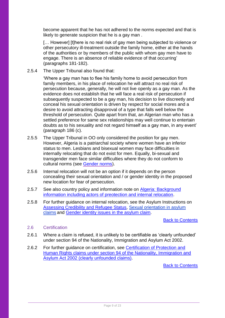become apparent that he has not adhered to the norms expected and that is likely to generate suspicion that he is a gay man.

[... However] [t]here is no real risk of gay men being subjected to violence or other persecutory ill-treatment outside the family home, either at the hands of the authorities or by members of the public with whom gay men have to engage. There is an absence of reliable evidence of that occurring' (paragraphs 181-182).

2.5.4 The Upper Tribunal also found that:

'Where a gay man has to flee his family home to avoid persecution from family members, in his place of relocation he will attract no real risk of persecution because, generally, he will not live openly as a gay man. As the evidence does not establish that he will face a real risk of persecution if subsequently suspected to be a gay man, his decision to live discreetly and conceal his sexual orientation is driven by respect for social mores and a desire to avoid attracting disapproval of a type that falls well below the threshold of persecution. Quite apart from that, an Algerian man who has a settled preference for same sex relationships may well continue to entertain doubts as to his sexuality and not regard himself as a gay man, in any event' (paragraph 186 (c).

- 2.5.5 The Upper Tribunal in OO only considered the position for gay men. However, Algeria is a patriarchal society where women have an inferior status to men. Lesbians and bisexual women may face difficulties in internally relocating that do not exist for men. Equally, bi-sexual and transgender men face similar difficulties where they do not conform to cultural norms (see Gender norms).
- 2.5.6 Internal relocation will not be an option if it depends on the person concealing their sexual orientation and / or gender identity in the proposed new location for fear of persecution.
- 2.5.7 See also country policy and information note on Algeria: Background [information including actors of preotection and internal relocation.](https://www.gov.uk/government/publications/algeria-country-policy-and-information-notes)
- 2.5.8 For further guidance on internal relocation, see the Asylum Instructions on [Assessing Credibility and Refugee Status,](http://ec.europa.eu/dgs/home-affairs/what-we-do/policies/asylum/european-asylum-support-office/coireportmethodologyfinallayout_en.pdf) [Sexual orientation in asylum](https://www.gov.uk/government/publications/sexual-identity-issues-in-the-asylum-claim)  [claims](https://www.gov.uk/government/publications/sexual-identity-issues-in-the-asylum-claim) and [Gender identity issues](https://www.gov.uk/government/publications/dealing-with-gender-identity-issues-in-the-asylum-claim-process) in the asylum claim.

#### [Back to Contents](#page-1-0)

#### <span id="page-8-0"></span>2.6 Certification

- 2.6.1 Where a claim is refused, it is unlikely to be certifiable as 'clearly unfounded' under section 94 of the Nationality, Immigration and Asylum Act 2002.
- 2.6.2 For further guidance on certification, see Certification of Protection and [Human Rights claims under section 94 of the Nationality, Immigration and](https://www.gov.uk/government/publications/sexual-identity-issues-in-the-asylum-claim)  [Asylum Act 2002 \(clearly unfounded claims\).](https://www.gov.uk/government/publications/sexual-identity-issues-in-the-asylum-claim)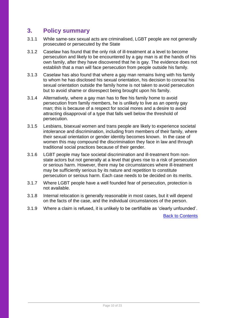## <span id="page-9-0"></span>**3. Policy summary**

- 3.1.1 While same-sex sexual acts are criminalised, LGBT people are not generally prosecuted or persecuted by the State
- 3.1.2 Caselaw has found that the only risk of ill-treatment at a level to become persecution and likely to be encountered by a gay man is at the hands of his own family, after they have discovered that he is gay. The evidence does not establish that a man will face persecution from people outside his family.
- 3.1.3 Caselaw has also found that where a gay man remains living with his family to whom he has disclosed his sexual orientation, his decision to conceal his sexual orientation outside the family home is not taken to avoid persecution but to avoid shame or disrespect being brought upon his family.
- 3.1.4 Alternatively, where a gay man has to flee his family home to avoid persecution from family members, he is unlikely to live as an openly gay man; this is because of a respect for social mores and a desire to avoid attracting disapproval of a type that falls well below the threshold of persecution.
- 3.1.5 Lesbians, bisexual women and trans people are likely to experience societal intolerance and discrimination, including from members of their family, where their sexual orientation or gender identity becomes known. In the case of women this may compound the discrimination they face in law and through traditional social practices because of their gender.
- 3.1.6 LGBT people may face societal discrimination and ill-treatment from nonstate actors but not generally at a level that gives rise to a risk of persecution or serious harm. However, there may be circumstances where ill-treatment may be sufficiently serious by its nature and repetition to constitute persecution or serious harm. Each case needs to be decided on its merits.
- 3.1.7 Where LGBT people have a well founded fear of persecution, protection is not available.
- 3.1.8 Internal relocation is generally reasonable in most cases, but it will depend on the facts of the case, and the individual circumstances of the person.
- 3.1.9 Where a claim is refused, it is unlikely to be certifiable as 'clearly unfounded'.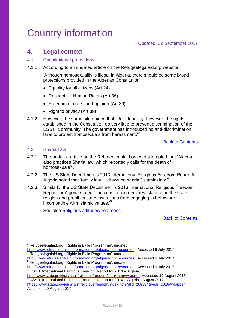# <span id="page-10-0"></span>Country information

## <span id="page-10-1"></span>**4. Legal context**

### <span id="page-10-2"></span>4.1 Constitutional protections

4.1.1 According to an undated article on the Refugeelegalaid.org website:

'Although homosexuality is illegal in Algeria, there should be some broad protections provided in the Algerian Constitution:

- Equality for all citizens (Art 24)
- Respect for Human Rights (Art 36)
- Freedom of creed and opinion (Art 36)
- Right to privacy (Art 39)<sup>1</sup>
- 4.1.2 However, the same site opined that 'Unfortunately, however, the rights established in the Constitution do very little to prevent discrimination of the LGBTI Community. The government has introduced no anti-discrimination laws to protect homosexuals from harassment.<sup>2</sup>

[Back to Contents](#page-1-0)

#### <span id="page-10-3"></span>4.2 Sharia Law

- 4.2.1 The undated article on the Refugeelegalaid.org website noted that 'Algeria also practices Sharia law, which reportedly calls for the death of homosexuals<sup>3</sup>.
- 4.2.2 The US State Department's 2013 International Religious Freedom Report for Algeria noted that 'family law ... draws on sharia (Islamic) law. $4$
- 4.2.3 Similarly, the US State Department's 2016 International Religious Freedom Report for Algeria stated 'The constitution declares Islam to be the state religion and prohibits state institutions from engaging in behaviour incompatible with Islamic values.' 5

See also [Religious attitudes/treatment.](#page-18-0)

[Back to Contents](#page-1-0)

-<sup>1</sup> Refugeelegalaid.org. 'Rights in Exile Programme', undated,

[http://www.refugeelegalaidinformation.org/algeria-lgbi-resources.](http://www.refugeelegalaidinformation.org/algeria-lgbi-resources) Accessed 6 July 2017 <sup>2</sup> Refugeelegalaid.org. 'Rights in Exile Programme', undated,

[http://www.refugeelegalaidinformation.org/algeria-lgbi-resources.](http://www.refugeelegalaidinformation.org/algeria-lgbi-resources) Accessed 6 July 2017  $3$  Refugeelegalaid.org. 'Rights in Exile Programme', undated,

[http://www.refugeelegalaidinformation.org/algeria-lgbi-resources.](http://www.refugeelegalaidinformation.org/algeria-lgbi-resources) Accessed 6 July 2017 <sup>4</sup> USSD, International Religious Freedom Report for 2013 – Algeria,

[http://www.state.gov/j/drl/rls/irf/religiousfreedom/index.htm#wrapper,](http://www.state.gov/j/drl/rls/irf/religiousfreedom/index.htm#wrapper) Accessed 19 August 2015 5 USSD, International Religious Freedom Report for 2016 – Algeria - August 2017 <https://www.state.gov/j/drl/rls/irf/religiousfreedom/index.htm?dlid=268884&year=2016#wrapper>

Accessed 29 August 2017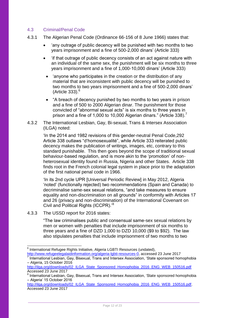### <span id="page-11-0"></span>4.3 Criminal/Penal Code

- 4.3.1 The Algerian Penal Code (Ordinance 66-156 of 8 June 1966) states that:
	- 'any outrage of public decency will be punished with two months to two years imprisonment and a fine of 500-2,000 dinars' (Article 333)
	- 'if that outrage of public decency consists of an act against nature with an individual of the same sex, the punishment will be six months to three years imprisonment and a fine of 1,000-10,000 dinars' (Article 333)
	- 'anyone who participates in the creation or the distribution of any material that are inconsistent with public decency will be punished to two months to two years imprisonment and a fine of 500-2,000 dinars'  $(A$ rticle 333). $<sup>6</sup>$ </sup>
	- "A breach of decency punished by two months to two years in prison and a fine of 500 to 2000 Algerian dinar. The punishment for those convicted of "abnormal sexual acts" is six months to three years in prison and a fine of 1,000 to 10,000 Algerian dinars." (Article 338).<sup>7</sup>
- 4.3.2 The International Lesbian, Gay, Bi-sexual, Trans & Intersex Association (ILGA) noted:

'In the 2014 and 1982 revisions of this gender-neutral Penal Code,292 Article 338 outlaws "d'homosexualité", while Article 333 reiterated public decency makes the publication of writings, images, etc, contrary to this standard punishable. This then goes beyond the scope of traditional sexual behaviour-based regulation, and is more akin to the 'promotion' of nonheterosexual identity found in Russia, Nigeria and other States. Article 338 finds root in the French colonial legal system in place prior to the adaptation of the first national penal code in 1966.

'In its 2nd cycle UPR [Universal Periodic Review] in May 2012, Algeria 'noted' (functionally rejected) two recommendations (Spain and Canada) to decriminalise same-sex sexual relations, "and take measures to ensure equality and non-discrimination on all grounds" in conformity with Articles 17 and 26 (privacy and non-discrimination) of the International Covenant on Civil and Political Rights (ICCPR).'<sup>8</sup>

4.3.3 The USSD report for 2016 states:

"The law criminalises public and consensual same-sex sexual relations by men or women with penalties that include imprisonment of six months to three years and a fine of DZD 1,000 to DZD 10,000 (\$9 to \$92). The law also stipulates penalties that include imprisonment of two months to two

 6 International Refugee Rights Initiative, Algeria LGBTI Resources (undated), [http://www.refugeelegalaidinformation.org/algeria-lgbti-resources-0,](http://www.refugeelegalaidinformation.org/algeria-lgbti-resources-0) accessed 23 June 2017

<sup>7</sup> International Lesbian, Gay, Bisexual, Trans and Intersex Association, 'State sponsored homophobia – Algeria, 15 October 2016

[http://ilga.org/downloads/02\\_ILGA\\_State\\_Sponsored\\_Homophobia\\_2016\\_ENG\\_WEB\\_150516.pdf](http://ilga.org/downloads/02_ILGA_State_Sponsored_Homophobia_2016_ENG_WEB_150516.pdf) Accessed 23 June 2017

<sup>8</sup> International Lesbian, Gay, Bisexual, Trans and Intersex Association, 'State sponsored homophobia – Algeria' 15 October 2016

[http://ilga.org/downloads/02\\_ILGA\\_State\\_Sponsored\\_Homophobia\\_2016\\_ENG\\_WEB\\_150516.pdf.](http://ilga.org/downloads/02_ILGA_State_Sponsored_Homophobia_2016_ENG_WEB_150516.pdf) Accessed 23 June 2017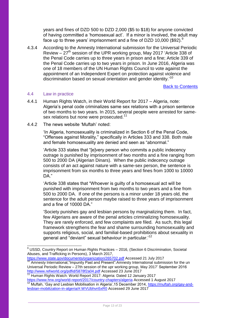years and fines of DZD 500 to DZD 2,000 (\$5 to \$18) for anyone convicted of having committed a 'homosexual act'. If a minor is involved, the adult may face up to three years' imprisonment and a fine of DZD 10,000 (\$92). $9$ 

4.3.4 According to the Amnesty International submission for the Universal Periodic Review  $-27<sup>th</sup>$  session of the UPR working group, May 2017 'Article 338 of the Penal Code carries up to three years in prison and a fine; Article 339 of the Penal Code carries up to two years in prison. In June 2016, Algeria was one of 18 members of the UN Human Rights Council to vote against the appointment of an Independent Expert on protection against violence and discrimination based on sexual orientation and gender identity.<sup>10</sup>

[Back to Contents](#page-1-0)

#### <span id="page-12-0"></span>4.4 Law in practice

1

- 4.4.1 Human Rights Watch, in their World Report for 2017 Algeria, note: Algeria's penal code criminalizes same sex relations with a prison sentence of two months to two years. In 2015, several people were arrested for samesex relations but none were prosecuted.<sup>11</sup>
- 4.4.2 The news website 'Muftah' noted:

'In Algeria, homosexuality is criminalized in Section 6 of the Penal Code, "Offenses against Morality," specifically in Articles 333 and 338. Both male and female homosexuality are denied and seen as "abnormal."

'Article 333 states that "[e]very person who commits a public indecency outrage is punished by imprisonment of two months and a fine ranging from 500 to 2000 DA (Algerian Dinars). When the public indecency outrage consists of an act against nature with a same-sex person, the sentence is imprisonment from six months to three years and fines from 1000 to 10000 DA."

'Article 338 states that "Whoever is guilty of a homosexual act will be punished with imprisonment from two months to two years and a fine from 500 to 2000 DA. If one of the persons is a minor under 18 years old, the sentence for the adult person maybe raised to three years of imprisonment and a fine of 10000 DA."

'Society punishes gay and lesbian persons by marginalizing them. In fact, few Algerians are aware of the penal articles criminalizing homosexuality. They are rarely enforced, and few complaints are filed. As such, this legal framework strengthens the fear and shame surrounding homosexuality and supports religious, social, and familial-based prohibitions about sexuality in general and "deviant" sexual behaviour in particular.<sup>12</sup>

 $9$  USSD, Country Report on Human Rights Practices  $-2016$ , (Section 6 Discrimination, Societal Abuses, and Trafficking in Persons), 3 March 2017,

<https://www.state.gov/documents/organization/265702.pdf> Accessed 21 July 2017 Amnesty International,"Impunity Past and Present":Amnesty International submission for the un Universal Periodic Review – 27th session of the upr working group, May 2017' September 2016 <http://www.refworld.org/pdfid/5878f2a04.pdf> Accessed 23 June 2017

<sup>1&</sup>lt;sub>1</sub> Human Rights Watch: World Report 2017: Algeria: Dated 12 January 2017 <https://www.hrw.org/world-report/2017/country-chapters/algeria> Accessed 1 August 2017

Muftah, 'Gay and Lesbian Mobilisation in Algeria', 15 December 2014, [https://muftah.org/gay-and](https://muftah.org/gay-and-lesbian-mobilization-in-algeria/#.WVUbhvn5xR0)[lesbian-mobilization-in-algeria/#.WVUbhvn5xR0](https://muftah.org/gay-and-lesbian-mobilization-in-algeria/#.WVUbhvn5xR0) Accessed 29 June 2017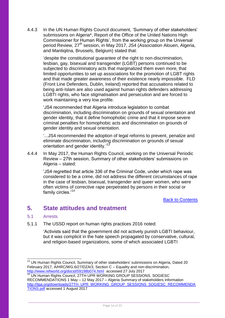4.4.3 In the UN Human Rights Council document, 'Summary of other stakeholders' submissions on Algeria\*, Report of the Office of the United Nations High Commissioner for Human Rights', from the working group on the Universal period Review, 27<sup>th</sup> session, in May 2017, JS4 (Association Alouen, Algeria, and Mantigitna, Brussels, Belgium) stated that:

'despite the constitutional guarantee of the right to non-discrimination, lesbian, gay, bisexual and transgender (LGBT) persons continued to be subjected to discriminatory acts that marginalized them even more, that limited opportunities to set up associations for the promotion of LGBT rights and that made greater awareness of their existence nearly impossible. FLD (Front Line Defenders, Dublin, Ireland) reported that accusations related to being anti-Islam are also used against human rights defenders addressing LGBTI rights, who face stigmatisation and persecution and are forced to work maintaining a very low profile.

'JS4 recommended that Algeria introduce legislation to combat discrimination, including discrimination on grounds of sexual orientation and gender identity, that it define homophobic crime and that it impose severe criminal penalties for homophobic acts and discrimination on grounds of gender identity and sexual orientation.

'...JS4 recommended the adoption of legal reforms to prevent, penalize and eliminate discrimination, including discrimination on grounds of sexual orientation and gender identity.<sup>13</sup>

4.4.4 In May 2017, the Human Rights Council, working on the Universal Periodic Review – 27th session, Summary of other stakeholders' submissions on Algeria – stated:

'JS4 regretted that article 336 of the Criminal Code, under which rape was considered to be a crime, did not address the different circumstances of rape in the case of lesbian, bisexual, transgender and queer women, who were often victims of corrective rape perpetrated by persons in their social or family circles.'<sup>14</sup>

[Back to Contents](#page-1-0)

## <span id="page-13-0"></span>**5. State attitudes and treatment**

#### <span id="page-13-1"></span>5.1 Arrests

1

5.1.1 The USSD report on human rights practices 2016 noted:

'Activists said that the government did not actively punish LGBTI behaviour, but it was complicit in the hate speech propagated by conservative, cultural, and religion-based organizations, some of which associated LGBTI

<sup>&</sup>lt;sup>13</sup> UN Human Rights Council, Summary of other stakeholders' submissions on Algeria, Dated 20 February 2017, A/HRC/WG.6/27/DZA/3, Section C – Equality and non-discrimination, <http://www.refworld.org/docid/59198b074.html> accessed 27 July 2017

<sup>14</sup> UN Human Rights Council, 27TH UPR WORKING GROUP SESSIONS. SOGIESC RECOMMENDATIONS 1 May – 12 May 2017 – Algeria Summary of stakeholders information [http://ilga.org/downloads/27TH\\_UPR\\_WORKING\\_GROUP\\_SESSIONS\\_SOGIESC\\_RECOMMENDA](http://ilga.org/downloads/27TH_UPR_WORKING_GROUP_SESSIONS_SOGIESC_RECOMMENDATIONS.pdf) [TIONS.pdf](http://ilga.org/downloads/27TH_UPR_WORKING_GROUP_SESSIONS_SOGIESC_RECOMMENDATIONS.pdf) accessed 1 August 2017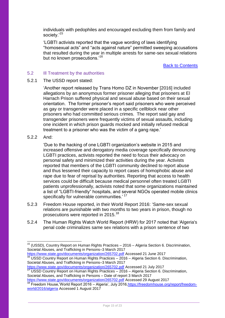individuals with pedophiles and encouraged excluding them from family and society.'<sup>15</sup>

'LGBTI activists reported that the vague wording of laws identifying "homosexual acts" and "acts against nature" permitted sweeping accusations that resulted during the year in multiple arrests for same-sex sexual relations but no known prosecutions.<sup>16</sup>

[Back to Contents](#page-1-0)

#### <span id="page-14-0"></span>5.2 Ill Treatment by the authorities

5.2.1 The USSD report stated:

'Another report released by Trans Homo DZ in November [2016] included allegations by an anonymous former prisoner alleging that prisoners at El Harrach Prison suffered physical and sexual abuse based on their sexual orientation. The former prisoner's report said prisoners who were perceived as gay or transgender were placed in a specific cellblock near other prisoners who had committed serious crimes. The report said gay and transgender prisoners were frequently victims of sexual assaults, including one incident in which prison guards mocked and initially refused medical treatment to a prisoner who was the victim of a gang rape.'

#### 5.2.2 And:

-

'Due to the hacking of one LGBTI organization's website in 2015 and increased offensive and derogatory media coverage specifically denouncing LGBTI practices, activists reported the need to focus their advocacy on personal safety and minimized their activities during the year. Activists reported that members of the LGBTI community declined to report abuse and thus lessened their capacity to report cases of homophobic abuse and rape due to fear of reprisal by authorities. Reporting that access to health services could be difficult because medical personnel often treated LGBTI patients unprofessionally, activists noted that some organizations maintained a list of "LGBTI-friendly" hospitals, and several NGOs operated mobile clinics specifically for vulnerable communities.<sup>'17</sup>

- 5.2.3 Freedom House reported, in their World Report 2016: 'Same-sex sexual relations are punishable with two months to two years in prison, though no prosecutions were reported in 2015.<sup>18</sup>
- 5.2.4 The Human Rights Watch World Report (HRW) for 2017 noted that 'Algeria's penal code criminalizes same sex relations with a prison sentence of two

 $16$  USSD Country Report on Human Rights Practices  $-2016$  – Algeria Section 6. Discrimination, Societal Abuses, and Trafficking in Persons–3 March 2017

<https://www.state.gov/documents/organization/265702.pdf> Accessed 21 July 2017

<sup>&</sup>lt;sup>15</sup> (USSD), Country Report on Human Rights Practices – 2016 – Algeria Section 6. Discrimination, Societal Abuses, and Trafficking in Persons–3 March 2017 <https://www.state.gov/documents/organization/265702.pdf> Accessed 21 June 2017

<sup>17</sup> USSD Country Report on Human Rights Practices – 2016 – Algeria Section 6. Discrimination, Societal Abuses, and Trafficking in Persons – Date of report 3 March 2017

<https://www.state.gov/documents/organization/265702.pdf> Accessed 29 August 2017 18 Freedom House,'World Report 2016 – Algeria', July 2016, https://freedomhouse.org/report/freedom[world/2016/algeria](https://freedomhouse.org/report/freedom-world/2016/algeria) Accessed 1 August 2017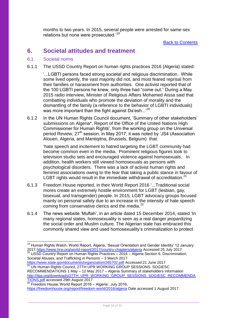months to two years. In 2015, several people were arrested for same-sex relations but none were prosecuted.<sup>19</sup>

**[Back to Contents](#page-1-0)** 

## <span id="page-15-0"></span>**6. Societal attitudes and treatment**

### <span id="page-15-1"></span>6.1 Societal norms

6.1.1 The USSD Country Report on human rights practices 2016 (Algeria) stated:

'...LGBTI persons faced strong societal and religious discrimination. While some lived openly, the vast majority did not, and most feared reprisal from their families or harassment from authorities. One activist reported that of the 100 LGBTI persons he knew, only three had "come out." During a May 2015 radio interview, Minister of Religious Affairs Mohamed Aissa said that combatting individuals who promote the deviation of morality and the dismantling of the family (a reference to the behavior of LGBTI individuals) was more important than the fight against Da'esh...'<sup>20</sup>

6.1.2 In the UN Human Rights Council document, 'Summary of other stakeholders' submissions on Algeria\*, Report of the Office of the United Nations High Commissioner for Human Rights', from the working group on the Universal period Review, 27<sup>th</sup> session, in May 2017, it was noted by 'JS4 (Association Alouen, Algeria, and Mantiqitna, Brussels, Belgium) that:

'hate speech and incitement to hatred targeting the LGBT community had become common even in the media. Prominent religious figures took to television studio sets and encouraged violence against homosexuals. In addition, health workers still viewed homosexuals as persons with psychological disorders. There was a lack of activist human rights and feminist associations owing to the fear that taking a public stance in favour of LGBT rights would result in the immediate withdrawal of accreditation.<sup>21</sup>

- 6.1.3 Freedom House reported, in their World Report 2016 '...Traditional social mores create an extremely hostile environment for LGBT (lesbian, gay, bisexual, and transgender) people. In 2015, LGBT advocacy groups focused mainly on personal safety due to an increase in the intensity of hate speech coming from conservative clerics and the media.<sup>22</sup>
- 6.1.4 The news website 'Muftah', in an article dated 15 December 2014, stated 'In many regional states, homosexuality is seen as a real danger jeopardizing the social order and Muslim culture. The Algerian state has embraced this commonly shared view and used homosexuality's criminalization to protect

Societal Abuses, and Trafficking in Persons – 3 March 2017

<https://www.state.gov/documents/organization/265702.pdf> Accessed 21 June 2017  $^{21}$  UN Human Rights Council, 27TH UPR WORKING GROUP SESSIONS. SOGIESC RECOMMENDATIONS 1 May – 12 May 2017 – Algeria Summary of stakeholders information [http://ilga.org/downloads/27TH\\_UPR\\_WORKING\\_GROUP\\_SESSIONS\\_SOGIESC\\_RECOMMENDA](http://ilga.org/downloads/27TH_UPR_WORKING_GROUP_SESSIONS_SOGIESC_RECOMMENDATIONS.pdf)

[TIONS.pdf](http://ilga.org/downloads/27TH_UPR_WORKING_GROUP_SESSIONS_SOGIESC_RECOMMENDATIONS.pdf) accessed 29th August 2017

<sup>-</sup><sup>19</sup> Human Rights Watch, World Report, Algeria, 'Sexual Orientation and Gender Identity' 12 January 2017<https://www.hrw.org/world-report/2017/country-chapters/algeria> Accessed 25 July 2017 <sup>20</sup> USSD Country Report on Human Rights Practices – 2016 – Algeria Section 6. Discrimination,

<sup>22</sup> Freedom House,'World Report 2016 – Algeria', July 2016, <https://freedomhouse.org/report/freedom-world/2016/algeria> Date accessed 1 August 2017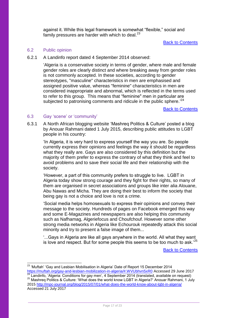against it. While this legal framework is somewhat "flexible," social and family pressures are harder with which to deal. $^{23}$ 

#### **[Back to Contents](#page-1-0)**

#### <span id="page-16-0"></span>6.2 Public opinion

6.2.1 A Landinfo report dated 4 September 2014 observed:

'Algeria is a conservative society in terms of gender, where male and female gender roles are clearly distinct and where breaking away from gender roles is not commonly accepted. In these societies, according to gender stereotypes, "masculine" characteristics in men are emphasised and assigned positive value, whereas "feminine" characteristics in men are considered inappropriate and abnormal, which is reflected in the terms used to refer to this group. This means that "feminine" men in particular are subjected to patronising comments and ridicule in the public sphere.<sup>'24</sup>

**[Back to Contents](#page-1-0)** 

#### <span id="page-16-1"></span>6.3 Gay 'scene' or 'community'

 $\overline{\phantom{a}}$ 

6.3.1 A North African blogging website 'Mashreq Politics & Culture' posted a blog by Anouar Rahmani dated 1 July 2015, describing public attitudes to LGBT people in his country:

'In Algeria, it is very hard to express yourself the way you are. So people currently express their opinions and feelings the way it should be regardless what they really are. Gays are also considered by this definition but the majority of them prefer to express the contrary of what they think and feel to avoid problems and to save their social life and their relationship with the society.

'However, a part of this community prefers to struggle to live. LGBT in Algeria today show strong courage and they fight for their rights, so many of them are organised in secret associations and groups like inter alia Alouane, Abu Nawas and Micha. They are doing their best to inform the society that being gay is not a choice and love is not a crime.

'Social media helps homosexuals to express their opinions and convey their message to the society. Hundreds of pages on Facebook emerged this way and some E-Magazines and newspapers are also helping this community such as Nafhamag, Algeriefocus and Choufchouf. However some other strong media networks in Algeria like Echourouk repeatedly attack this social minority and try to present a false image of them...

'...Gays in Algeria are like all gays anywhere in the world. All what they want is love and respect. But for some people this seems to be too much to ask.'<sup>25</sup>

 $^{23}$  'Muftah' 'Gay and Lesbian Mobilisation in Algeria' Date of Report 15 December 2014

<https://muftah.org/gay-and-lesbian-mobilization-in-algeria/#.WVUbhvn5xR0> Accessed 29 June 2017 **24 Conditions of the Conditions of gay men', 4 September 2014 (translated, available on request)** <sup>25</sup> Mashreq Politics & Culture: 'What does the world know LGBT in Algeria?' Anouar Rahmani, 1 July

<sup>2015</sup><http://mpc-journal.org/blog/2015/07/01/what-does-the-world-know-about-lgbt-in-algeria/> Accessed 21 July 2017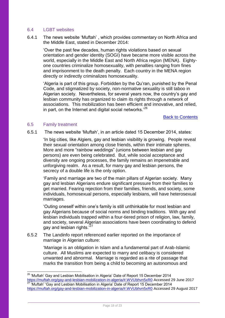#### <span id="page-17-0"></span>6.4 LGBT websites

6.4.1 The news website 'Muftah' , which provides commentary on North Africa and the Middle East, stated in December 2014:

'Over the past few decades, human rights violations based on sexual orientation and gender identity (SOGI) have became more visible across the world, especially in the Middle East and North Africa region (MENA). Eightyone countries criminalize homosexuality, with penalties ranging from fines and imprisonment to the death penalty. Each country in the MENA region directly or indirectly criminalizes homosexuality.

'Algeria is part of this group. Forbidden by the Qu'ran, punished by the Penal Code, and stigmatized by society, non-normative sexuality is still taboo in Algerian society. Nevertheless, for several years now, the country's gay and lesbian community has organized to claim its rights through a network of associations. This mobilization has been efficient and innovative, and relied, in part, on the Internet and digital social networks.<sup>'26</sup>

#### [Back to Contents](#page-1-0)

#### <span id="page-17-1"></span>6.5 Family treatment

-

6.5.1 The news website 'Muftah', in an article dated 15 December 2014, states:

'In big cities, like Algiers, gay and lesbian visibility is growing. People reveal their sexual orientation among close friends, within their intimate spheres. More and more "rainbow weddings" (unions between lesbian and gay persons) are even being celebrated. But, while social acceptance and diversity are ongoing processes, the family remains an impenetrable and unforgiving realm. As a result, for many gay and lesbian persons, the secrecy of a double life is the only option.

'Family and marriage are two of the main pillars of Algerian society. Many gay and lesbian Algerians endure significant pressure from their families to get married. Fearing rejection from their families, friends, and society, some individuals, homosexual persons, especially lesbians, will have heterosexual marriages.

'Outing oneself within one's family is still unthinkable for most lesbian and gay Algerians because of social norms and binding traditions. With gay and lesbian individuals trapped within a four-tiered prison of religion, law, family, and society, several Algerian associations have been coordinating to defend gay and lesbian rights.<sup>'27</sup>

6.5.2 The Landinfo report referenced earlier reported on the importance of marriage in Algerian culture:

> 'Marriage is an obligation in Islam and a fundamental part of Arab-Islamic culture. All Muslims are expected to marry and celibacy is considered unwanted and abnormal. Marriage is regarded as a rite of passage that marks the transition from being a child to becoming an autonomous and

 $26$  'Muftah' Gay and Lesbian Mobilisation in Algeria' Date of Report 15 December 2014 <https://muftah.org/gay-and-lesbian-mobilization-in-algeria/#.WVUbhvn5xR0> Accessed 29 June 2017 <sup>27</sup> 'Muftah' 'Gay and Lesbian Mobilisation in Algeria' Date of Report 15 December 2014 <https://muftah.org/gay-and-lesbian-mobilization-in-algeria/#.WVUbhvn5xR0> Accessed 29 August 2017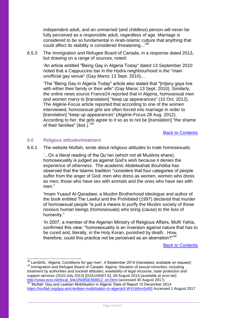independent adult, and an unmarried (and childless) person will never be fully perceived as a responsible adult, regardless of age. Marriage is considered to be so fundamental in Arab-Islamic culture that anything that could affect its stability is considered threatening...<sup>28</sup>

6.5.3 The Immigration and Refugee Board of Canada, in a response dated 2013, but drawing on a range of sources, noted:

'An article entitled "Being Gay in Algeria Today" dated 13 September 2010 noted that a Cappuccino bar in the Hydra neighbourhood is the "main unofficial gay venue" (Gay Maroc 13 Sept. 2010)...

'The "Being Gay in Algeria Today" article also stated that "[m]any gays live with either their family or their wife" (Gay Maroc 13 Sept. 2010). Similarly, the online news source France24 reported that in Algeria, homosexual men and women marry to [translation] "keep up appearances" (10 Oct. 2012). The Algérie-Focus article reported that according to one of the women interviewed, homosexual girls are often forced into marriage in order to [translation] "keep up appearances" (Algérie-Focus 28 Aug. 2012). According to her, the girls agree to it so as to not be [translation] "the shame of their families" (ibid.).<sup>'29</sup>

[Back to Contents](#page-1-0)

#### <span id="page-18-0"></span>6.6 Religious attitudes/treatment

1

6.6.1 The website Muftah, wrote about religious attitudes to male homosexuals:

'...On a literal reading of the Qu'ran (which not all Muslims share), homosexuality is judged as against God's wish because it denies the experience of otherness. The academic Abdelwahab Bouhdiba has observed that the Islamic tradition "considers that four categories of people suffer from the anger of God: men who dress as women, women who dress as men, those who have sex with animals and the ones who have sex with men."

'Imam Yussuf Al-Qaradawi, a Muslim Brotherhood ideologue and author of the book entitled The Lawful and the Prohibited (1997) declared that murder of homosexual people "is just a means to purify the Muslim society of those noxious human beings (homosexuals) who bring (cause) to the loss of humanity."

'In 2007, a member of the Algerian Ministry of Religious Affairs, Mufti Yahia, confirmed this view: "homosexuality is an inversion against nature that has to be cured and, literally, in the Holy Koran, punished by death. How, therefore, could this practice not be perceived as an aberration?"30

 $^{28}$  Landinfo, 'Algeria: Conditions for gay men', 4 September 2014 (translated, available on request) <sup>29</sup> Immigration and Refugee Board of Canada: Algeria: Situation of sexual minorities, including treatment by authorities and societal attitudes; availability of legal recourse, state protection and support services (2010-July 2013) [DZA104507.E], 09 August 2013 (available at ecoi.net) [http://www.ecoi.net/local\\_link/256858/368812\\_en.html](http://www.ecoi.net/local_link/256858/368812_en.html) (accessed 30 August 2017)  $30$  'Muftah' Gay and Lesbian Mobilisation in Algeria' Date of Report 15 December 2014 <https://muftah.org/gay-and-lesbian-mobilization-in-algeria/#.WVUbhvn5xR0> Accessed 1 August 2017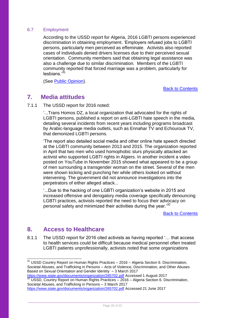### <span id="page-19-0"></span>6.7 Employment

According to the USSD report for Algeria, 2016 LGBTI persons experienced discrimination in obtaining employment. 'Employers refused jobs to LGBTI persons, particularly men perceived as effeminate. Activists also reported cases of individuals denied drivers licenses due to their perceived sexual orientation. Community members said that obtaining legal assistance was also a challenge due to similar discrimination. Members of the LGBTI community reported that forced marriage was a problem, particularly for lesbians.'<sup>31</sup>

(See [Public Opinion\)](#page-16-0).

[Back to Contents](#page-1-0)

## <span id="page-19-1"></span>**7. Media attitudes**

7.1.1 The USSD report for 2016 noted:

'...Trans Homos DZ, a local organization that advocated for the rights of LGBTI persons, published a report on anti-LGBTI hate speech in the media, detailing several incidents from recent years including programs broadcast by Arabic-language media outlets, such as Ennahar TV and Echourouk TV, that demonized LGBTI persons.

'The report also detailed social media and other online hate speech directed at the LGBTI community between 2013 and 2015. The organization reported in April that two men who used homophobic slurs physically attacked an activist who supported LGBTI rights in Algiers. In another incident a video posted on YouTube in November 2015 showed what appeared to be a group of men surrounding a transgender woman on the street. Several of the men were shown kicking and punching her while others looked on without intervening. The government did not announce investigations into the perpetrators of either alleged attack...

'...Due to the hacking of one LGBTI organization's website in 2015 and increased offensive and derogatory media coverage specifically denouncing LGBTI practices, activists reported the need to focus their advocacy on personal safety and minimized their activities during the year.<sup>32</sup>

[Back to Contents](#page-1-0)

## <span id="page-19-2"></span>**8. Access to Healthcare**

1

8.1.1 The USSD report for 2016 cited activists as having reported '… that access to health services could be difficult because medical personnel often treated LGBTI patients unprofessionally, activists noted that some organizations

 $31$  USSD Country Report on Human Rights Practices  $-2016$  – Algeria Section 6. Discrimination, Societal Abuses, and Trafficking in Persons – Acts of Violence, Discrimination, and Other Abuses Based on Sexual Orientation and Gender Identity – 3 March 2017 <https://www.state.gov/documents/organization/265702.pdf> Accessed 1 August 2017

<sup>32</sup> USSD, Country Report on Human Rights Practices – 2016 – Algeria Section 6. Discrimination, Societal Abuses, and Trafficking in Persons – 3 March 2017

<https://www.state.gov/documents/organization/265702.pdf> Accessed 21 June 2017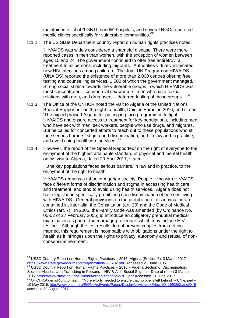maintained a list of "LGBTI-friendly" hospitals, and several NGOs operated mobile clinics specifically for vulnerable communities.<sup>33</sup>

8.1.2 The US State Department country report on human rights practices noted:

'HIV/AIDS was widely considered a shameful disease. There were more reported cases in men than women, with the exception of women between ages 15 and 24. The government continued to offer free antiretroviral treatment to all persons, including migrants. Authorities virtually eliminated new HIV infections among children. The Joint UN Program on HIV/AIDS (UNAIDS) reported the existence of more than 2,000 centres offering free testing and counselling services, 1,500 of which the government managed. Strong social stigma towards the vulnerable groups in which HIV/AIDS was most concentrated – commercial sex workers, men who have sexual relations with men, and drug users – deterred testing of these groups...<sup>34</sup>

- 8.1.3 The Office of the UNHCR noted the visit to Algeria of the United Nations Special Rapporteur on the right to health, Dainius Pūras, in 2016, and stated 'The expert praised Algeria for putting in place programmes to fight HIV/AIDS and ensure access to treatment for key populations, including men who have sex with men, sex workers, people who use drugs, and migrants. But he called for concerted efforts to reach out to these populations who still face serious barriers, stigma and discrimination, both in law and in practice, and avoid using healthcare services.<sup>35</sup>
- 8.1.4 However, the report of the Special Rapporteur on the right of everyone to the enjoyment of the highest attainable standard of physical and mental health on his visit to Algeria, dated 20 April 2017, stated:

'...the key populations faced serious barriers, in law and in practice, to the enjoyment of the right to health.

'HIV/AIDS remains a taboo in Algerian society. People living with HIV/AIDS face different forms of discrimination and stigma in accessing health care and treatment, and tend to avoid using health services. Algeria does not have legislation specifically prohibiting non-discrimination of persons living with HIV/AIDS. General provisions on the prohibition of discrimination are contained in, inter alia, the Constitution (art. 29) and the Code of Medical Ethics (art. 7). In 2005, the Family Code was amended (by Ordinance No. 05-02 of 27 February 2005) to introduce an obligatory prenuptial medical examination as part of the marriage procedure, which may include HIV testing. Although the test results do not prevent couples from getting married, this requirement is incompatible with obligations under the right to health as it infringes upon the rights to privacy, autonomy and refusal of nonconsensual treatment.

<sup>-</sup> $33$  USSD Country Report on Human Rights Practices – 2016, Algeria (Section 6), 3 March 2017 [https://www.state.gov/documents/organization/265702.pdf.](https://www.state.gov/documents/organization/265702.pdf) Accessed 21 June 2017

USSD Country Report on Human Rights Practices – 2016 – Algeria Section 6. Discrimination, Societal Abuses, and Trafficking in Persons – HIV & Aids Social Stigma – Date of report 3 March 2017<https://www.state.gov/documents/organization/265702.pdf> Accessed 21 June 2017

<sup>35</sup> OHCHR:Algeria/Right to health: "More efforts needed to ensure that no one is left behind" – UN expert – 10 May 2016,<http://www.ohchr.org/EN/NewsEvents/Pages/DisplayNews.aspx?NewsID=19935&LangID=E> accessed 30 August 2017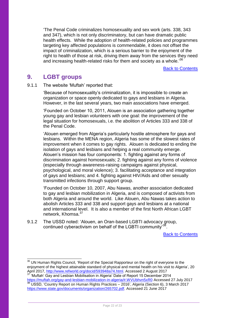'The Penal Code criminalizes homosexuality and sex work (arts. 338, 343 and 347), which is not only discriminatory, but can have dramatic public health effects. While the adoption of health-related policies and programmes targeting key affected populations is commendable, it does not offset the impact of criminalization, which is a serious barrier to the enjoyment of the right to health of those at risk, driving them away from the services they need and increasing health-related risks for them and society as a whole.<sup>36</sup>

[Back to Contents](#page-1-0)

## <span id="page-21-0"></span>**9. LGBT groups**

1

9.1.1 The website 'Muftah' reported that:

'Because of homosexuality's criminalization, it is impossible to create an organization or space openly dedicated to gays and lesbians in Algeria. However, in the last several years, two main associations have emerged.

'Founded on October 10, 2011, Alouen is an association gathering together young gay and lesbian volunteers with one goal: the improvement of the legal situation for homosexuals, i.e. the abolition of Articles 333 and 338 of the Penal Code.

'Alouen emerged from Algeria's particularly hostile atmosphere for gays and lesbians. Within the MENA region, Algeria has some of the slowest rates of improvement when it comes to gay rights. Alouen is dedicated to ending the isolation of gays and lesbians and helping a real community emerge. Alouen's mission has four components: 1. fighting against any forms of discrimination against homosexuals; 2. fighting against any forms of violence (especially through awareness-raising campaigns against physical, psychological, and moral violence); 3. facilitating acceptance and integration of gays and lesbians; and 4. fighting against HIV/Aids and other sexually transmitted infections through support group.

'Founded on October 10, 2007, Abu Nawas, another association dedicated to gay and lesbian mobilization in Algeria, and is composed of activists from both Algeria and around the world. Like Alouen, Abu Nawas takes action to abolish Articles 333 and 338 and support gays and lesbians at a national and international level. It is also a member of the first North African LGBT network, Khomsa.<sup>37</sup>

9.1.2 The USSD noted: 'Alouen, an Oran-based LGBTI advocacy group, continued cyberactivism on behalf of the LGBTI community<sup>33</sup> .

[Back to Contents](#page-1-0)

<https://muftah.org/gay-and-lesbian-mobilization-in-algeria/#.WVUbhvn5xR0> Accessed 27 July 2017 <sup>38</sup> USSD, 'Country Report on Human Rights Practices – 2016', Algeria (Section 6), 3 March 2017 [https://www.state.gov/documents/organization/265702.pdf.](https://www.state.gov/documents/organization/265702.pdf) Accessed 21 June 2017

<sup>&</sup>lt;sup>36</sup> UN Human Rights Council, 'Report of the Special Rapporteur on the right of everyone to the enjoyment of the highest attainable standard of physical and mental health on his visit to Algeria', 20 April 2017, [http://www.refworld.org/docid/593948a74.html.](http://www.refworld.org/docid/593948a74.html) Accessed 2 August 2017 <sup>37</sup> 'Muftah' Gay and Lesbian Mobilisation in Algeria' Date of Report 15 December 2014